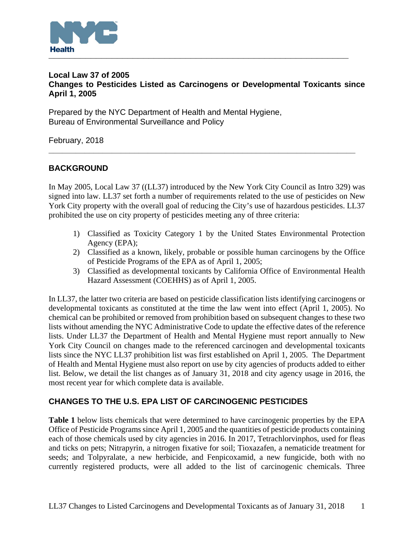

## **Local Law 37 of 2005 Changes to Pesticides Listed as Carcinogens or Developmental Toxicants since April 1, 2005**

Prepared by the NYC Department of Health and Mental Hygiene, Bureau of Environmental Surveillance and Policy

February, 2018

# **BACKGROUND**

In May 2005, Local Law 37 ((LL37) introduced by the New York City Council as Intro 329) was signed into law. LL37 set forth a number of requirements related to the use of pesticides on New York City property with the overall goal of reducing the City's use of hazardous pesticides. LL37 prohibited the use on city property of pesticides meeting any of three criteria:

**\_\_\_\_\_\_\_\_\_\_\_\_\_\_\_\_\_\_\_\_\_\_\_\_\_\_\_\_\_\_\_\_\_\_\_\_\_\_\_\_\_\_\_\_\_\_\_\_\_\_\_\_\_\_\_\_\_\_\_\_\_\_\_\_\_\_\_\_** 

- 1) Classified as Toxicity Category 1 by the United States Environmental Protection Agency (EPA);
- 2) Classified as a known, likely, probable or possible human carcinogens by the Office of Pesticide Programs of the EPA as of April 1, 2005;
- 3) Classified as developmental toxicants by California Office of Environmental Health Hazard Assessment (COEHHS) as of April 1, 2005.

In LL37, the latter two criteria are based on pesticide classification lists identifying carcinogens or developmental toxicants as constituted at the time the law went into effect (April 1, 2005). No chemical can be prohibited or removed from prohibition based on subsequent changes to these two lists without amending the NYC Administrative Code to update the effective dates of the reference lists. Under LL37 the Department of Health and Mental Hygiene must report annually to New York City Council on changes made to the referenced carcinogen and developmental toxicants lists since the NYC LL37 prohibition list was first established on April 1, 2005. The Department of Health and Mental Hygiene must also report on use by city agencies of products added to either list. Below, we detail the list changes as of January 31, 2018 and city agency usage in 2016, the most recent year for which complete data is available.

## **CHANGES TO THE U.S. EPA LIST OF CARCINOGENIC PESTICIDES**

**Table 1** below lists chemicals that were determined to have carcinogenic properties by the EPA Office of Pesticide Programs since April 1, 2005 and the quantities of pesticide products containing each of those chemicals used by city agencies in 2016. In 2017, Tetrachlorvinphos, used for fleas and ticks on pets; Nitrapyrin, a nitrogen fixative for soil; Tioxazafen, a nematicide treatment for seeds; and Tolpyralate, a new herbicide, and Fenpicoxamid, a new fungicide, both with no currently registered products, were all added to the list of carcinogenic chemicals. Three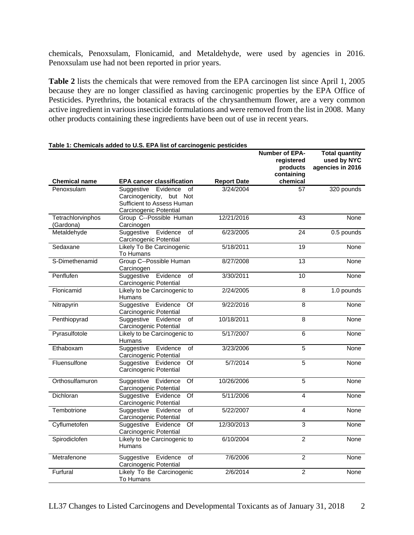chemicals, Penoxsulam, Flonicamid, and Metaldehyde, were used by agencies in 2016. Penoxsulam use had not been reported in prior years.

**Table 2** lists the chemicals that were removed from the EPA carcinogen list since April 1, 2005 because they are no longer classified as having carcinogenic properties by the EPA Office of Pesticides. Pyrethrins, the botanical extracts of the chrysanthemum flower, are a very common active ingredient in various insecticide formulations and were removed from the list in 2008. Many other products containing these ingredients have been out of use in recent years.

|                                |                                                                                                                     |                    | Number of EPA-<br>registered<br>products<br>containing | <b>Total quantity</b><br>used by NYC<br>agencies in 2016 |
|--------------------------------|---------------------------------------------------------------------------------------------------------------------|--------------------|--------------------------------------------------------|----------------------------------------------------------|
| <b>Chemical name</b>           | <b>EPA cancer classification</b>                                                                                    | <b>Report Date</b> | chemical                                               |                                                          |
| Penoxsulam                     | Suggestive<br>Evidence<br>of<br>Carcinogenicity,<br>but Not<br>Sufficient to Assess Human<br>Carcinogenic Potential | 3/24/2004          | 57                                                     | 320 pounds                                               |
| Tetrachlorvinphos<br>(Gardona) | Group C--Possible Human<br>Carcinogen                                                                               | 12/21/2016         | 43                                                     | None                                                     |
| Metaldehyde                    | Suggestive<br>Evidence<br>of<br>Carcinogenic Potential                                                              | 6/23/2005          | 24                                                     | 0.5 pounds                                               |
| Sedaxane                       | Likely To Be Carcinogenic<br>To Humans                                                                              | 5/18/2011          | $\overline{19}$                                        | <b>None</b>                                              |
| S-Dimethenamid                 | Group C--Possible Human<br>Carcinogen                                                                               | 8/27/2008          | $\overline{13}$                                        | None                                                     |
| Penflufen                      | Suggestive<br>Evidence<br>$\overline{of}$<br>Carcinogenic Potential                                                 | 3/30/2011          | 10                                                     | <b>None</b>                                              |
| Flonicamid                     | Likely to be Carcinogenic to<br><b>Humans</b>                                                                       | 2/24/2005          | $\overline{8}$                                         | 1.0 pounds                                               |
| Nitrapyrin                     | Evidence<br>Suggestive<br>Of<br>Carcinogenic Potential                                                              | 9/22/2016          | $\overline{8}$                                         | <b>None</b>                                              |
| Penthiopyrad                   | Suggestive<br>$\overline{of}$<br>Evidence<br>Carcinogenic Potential                                                 | 10/18/2011         | $\overline{8}$                                         | None                                                     |
| Pyrasulfotole                  | Likely to be Carcinogenic to<br>Humans                                                                              | 5/17/2007          | 6                                                      | None                                                     |
| Ethaboxam                      | Evidence<br>Suggestive<br>of<br>Carcinogenic Potential                                                              | 3/23/2006          | 5                                                      | <b>None</b>                                              |
| Fluensulfone                   | $\overline{Of}$<br>Suggestive Evidence<br>Carcinogenic Potential                                                    | 5/7/2014           | 5                                                      | None                                                     |
| Orthosulfamuron                | Of<br>Suggestive Evidence<br>Carcinogenic Potential                                                                 | 10/26/2006         | $\overline{5}$                                         | <b>None</b>                                              |
| Dichloran                      | Suggestive<br>Evidence<br>Of<br>Carcinogenic Potential                                                              | 5/11/2006          | 4                                                      | None                                                     |
| Tembotrione                    | $\overline{of}$<br>Suggestive<br>Evidence<br>Carcinogenic Potential                                                 | 5/22/2007          | $\overline{4}$                                         | None                                                     |
| Cyflumetofen                   | $\overline{Of}$<br>Suggestive Evidence<br>Carcinogenic Potential                                                    | 12/30/2013         | $\overline{3}$                                         | <b>None</b>                                              |
| Spirodiclofen                  | Likely to be Carcinogenic to<br><b>Humans</b>                                                                       | 6/10/2004          | $\overline{2}$                                         | None                                                     |
| Metrafenone                    | Suggestive<br>Evidence<br>of<br>Carcinogenic Potential                                                              | 7/6/2006           | $\overline{2}$                                         | None                                                     |
| Furfural                       | Likely To Be Carcinogenic<br>To Humans                                                                              | 2/6/2014           | $\overline{2}$                                         | None                                                     |

#### **Table 1: Chemicals added to U.S. EPA list of carcinogenic pesticides**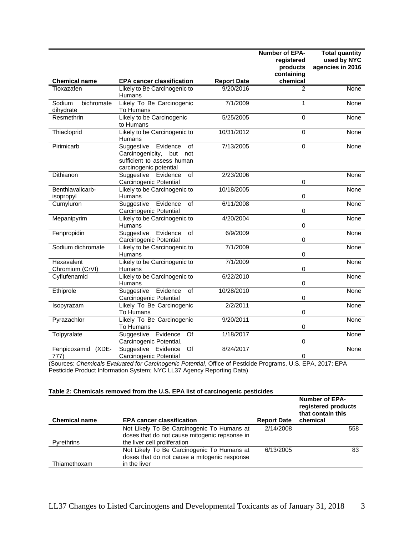|                                   |                                                                                                                                     |                    | Number of EPA-<br>registered<br>products<br>containing | <b>Total quantity</b><br>used by NYC<br>agencies in 2016 |
|-----------------------------------|-------------------------------------------------------------------------------------------------------------------------------------|--------------------|--------------------------------------------------------|----------------------------------------------------------|
| <b>Chemical name</b>              | <b>EPA cancer classification</b>                                                                                                    | <b>Report Date</b> | chemical                                               |                                                          |
| Tioxazafen                        | Likely to Be Carcinogenic to<br><b>Humans</b>                                                                                       | 9/20/2016          | $\mathcal{P}$                                          | <b>None</b>                                              |
| Sodium<br>bichromate<br>dihydrate | Likely To Be Carcinogenic<br>To Humans                                                                                              | 7/1/2009           | 1                                                      | None                                                     |
| Resmethrin                        | Likely to be Carcinogenic<br>to Humans                                                                                              | 5/25/2005          | 0                                                      | <b>None</b>                                              |
| Thiacloprid                       | Likely to be Carcinogenic to<br><b>Humans</b>                                                                                       | 10/31/2012         | 0                                                      | None                                                     |
| Pirimicarb                        | Evidence<br>$\overline{of}$<br>Suggestive<br>Carcinogenicity,<br>but<br>not<br>sufficient to assess human<br>carcinogenic potential | 7/13/2005          | 0                                                      | <b>None</b>                                              |
| Dithianon                         | of<br>Suggestive Evidence<br>Carcinogenic Potential                                                                                 | $\sqrt{2}/23/2006$ | 0                                                      | None                                                     |
| Benthiavalicarb-<br>isopropyl     | Likely to be Carcinogenic to<br>Humans                                                                                              | 10/18/2005         | 0                                                      | None                                                     |
| Cumyluron                         | Suggestive<br>Evidence<br>of<br>Carcinogenic Potential                                                                              | 6/11/2008          | 0                                                      | <b>None</b>                                              |
| Mepanipyrim                       | Likely to be Carcinogenic to<br>Humans                                                                                              | 4/20/2004          | $\mathsf 0$                                            | <b>None</b>                                              |
| Fenpropidin                       | Evidence<br>Suggestive<br>of<br>Carcinogenic Potential                                                                              | 6/9/2009           | 0                                                      | None                                                     |
| Sodium dichromate                 | Likely to be Carcinogenic to<br>Humans                                                                                              | 7/1/2009           | $\mathsf 0$                                            | None                                                     |
| Hexavalent<br>Chromium (CrVI)     | Likely to be Carcinogenic to<br>Humans                                                                                              | 7/1/2009           | $\mathsf 0$                                            | None                                                     |
| Cyflufenamid                      | Likely to be Carcinogenic to<br>Humans                                                                                              | 6/22/2010          | 0                                                      | None                                                     |
| Ethiprole                         | Suggestive<br>Evidence<br>of<br>Carcinogenic Potential                                                                              | 10/28/2010         | $\mathsf 0$                                            | None                                                     |
| Isopyrazam                        | Likely To Be Carcinogenic<br>To Humans                                                                                              | 2/2/2011           | 0                                                      | None                                                     |
| Pyrazachlor                       | Likely To Be Carcinogenic<br>To Humans                                                                                              | 9/20/2011          | $\mathbf 0$                                            | None                                                     |
| Tolpyralate                       | Evidence<br>$\overline{Of}$<br>Suggestive<br>Carcinogenic Potential.                                                                | 1/18/2017          | $\mathsf{O}\xspace$                                    | <b>None</b>                                              |
| Fenpicoxamid<br>(XDE-<br>777)     | Suggestive<br>Evidence<br>Of<br>Carcinogenic Potential                                                                              | 8/24/2017          | 0                                                      | None                                                     |

(Sources: *Chemicals Evaluated for Carcinogenic Potential*, Office of Pesticide Programs, U.S. EPA, 2017; EPA Pesticide Product Information System; NYC LL37 Agency Reporting Data)

### **Table 2: Chemicals removed from the U.S. EPA list of carcinogenic pesticides**

| <b>Chemical name</b> | <b>EPA cancer classification</b>                                                            | <b>Report Date</b> | <b>Number of EPA-</b><br>registered products<br>that contain this<br>chemical |
|----------------------|---------------------------------------------------------------------------------------------|--------------------|-------------------------------------------------------------------------------|
|                      | Not Likely To Be Carcinogenic To Humans at<br>doses that do not cause mitogenic repsonse in | 2/14/2008          | 558                                                                           |
| Pyrethrins           | the liver cell proliferation                                                                |                    |                                                                               |
|                      | Not Likely To Be Carcinogenic To Humans at                                                  | 6/13/2005          | 83                                                                            |
|                      | doses that do not cause a mitogenic response                                                |                    |                                                                               |
| Thiamethoxam         | in the liver                                                                                |                    |                                                                               |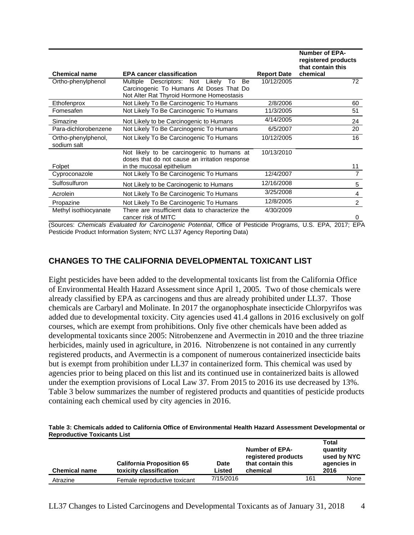| <b>Chemical name</b>               | <b>EPA cancer classification</b>                                                             | <b>Report Date</b> | <b>Number of EPA-</b><br>registered products<br>that contain this<br>chemical |
|------------------------------------|----------------------------------------------------------------------------------------------|--------------------|-------------------------------------------------------------------------------|
| Ortho-phenylphenol                 | Multiple Descriptors: Not Likely<br>Be<br>To                                                 | 10/12/2005         | 72                                                                            |
|                                    | Carcinogenic To Humans At Doses That Do<br>Not Alter Rat Thyroid Hormone Homeostasis         |                    |                                                                               |
| Ethofenprox                        | Not Likely To Be Carcinogenic To Humans                                                      | 2/8/2006           | 60                                                                            |
| Fomesafen                          | Not Likely To Be Carcinogenic To Humans                                                      | 11/3/2005          | 51                                                                            |
| Simazine                           | Not Likely to be Carcinogenic to Humans                                                      | 4/14/2005          | 24                                                                            |
| Para-dichlorobenzene               | Not Likely To Be Carcinogenic To Humans                                                      | 6/5/2007           | 20                                                                            |
| Ortho-phenylphenol,<br>sodium salt | Not Likely To Be Carcinogenic To Humans                                                      | 10/12/2005         | 16                                                                            |
|                                    | Not likely to be carcinogenic to humans at<br>doses that do not cause an irritation response | 10/13/2010         |                                                                               |
| Folpet                             | in the mucosal epithelium                                                                    |                    | 11                                                                            |
| Cyproconazole                      | Not Likely To Be Carcinogenic To Humans                                                      | 12/4/2007          | $\overline{7}$                                                                |
| Sulfosulfuron                      | Not Likely to be Carcinogenic to Humans                                                      | 12/16/2008         | 5                                                                             |
| Acrolein                           | Not Likely To Be Carcinogenic To Humans                                                      | 3/25/2008          | 4                                                                             |
| Propazine                          | Not Likely To Be Carcinogenic To Humans                                                      | 12/8/2005          | 2                                                                             |
| Methyl isothiocyanate              | There are insufficient data to characterize the<br>cancer risk of MITC                       | 4/30/2009          | 0                                                                             |

(Sources: *Chemicals Evaluated for Carcinogenic Potential*, Office of Pesticide Programs, U.S. EPA, 2017; EPA Pesticide Product Information System; NYC LL37 Agency Reporting Data)

## **CHANGES TO THE CALIFORNIA DEVELOPMENTAL TOXICANT LIST**

Eight pesticides have been added to the developmental toxicants list from the California Office of Environmental Health Hazard Assessment since April 1, 2005. Two of those chemicals were already classified by EPA as carcinogens and thus are already prohibited under LL37. Those chemicals are Carbaryl and Molinate. In 2017 the organophosphate insecticide Chlorpyrifos was added due to developmental toxicity. City agencies used 41.4 gallons in 2016 exclusively on golf courses, which are exempt from prohibitions. Only five other chemicals have been added as developmental toxicants since 2005: Nitrobenzene and Avermectin in 2010 and the three triazine herbicides, mainly used in agriculture, in 2016. Nitrobenzene is not contained in any currently registered products, and Avermectin is a component of numerous containerized insecticide baits but is exempt from prohibition under LL37 in containerized form. This chemical was used by agencies prior to being placed on this list and its continued use in containerized baits is allowed under the exemption provisions of Local Law 37. From 2015 to 2016 its use decreased by 13%. Table 3 below summarizes the number of registered products and quantities of pesticide products containing each chemical used by city agencies in 2016.

#### **Table 3: Chemicals added to California Office of Environmental Health Hazard Assessment Developmental or Reproductive Toxicants List**

| <b>Chemical name</b> | <b>California Proposition 65</b><br>toxicity classification | <b>Date</b><br>Listed | <b>Number of EPA-</b><br>registered products<br>that contain this<br>chemical |     | Total<br>quantity<br>used by NYC<br>agencies in<br>2016 |
|----------------------|-------------------------------------------------------------|-----------------------|-------------------------------------------------------------------------------|-----|---------------------------------------------------------|
| Atrazine             | Female reproductive toxicant                                | 7/15/2016             |                                                                               | 161 | None                                                    |